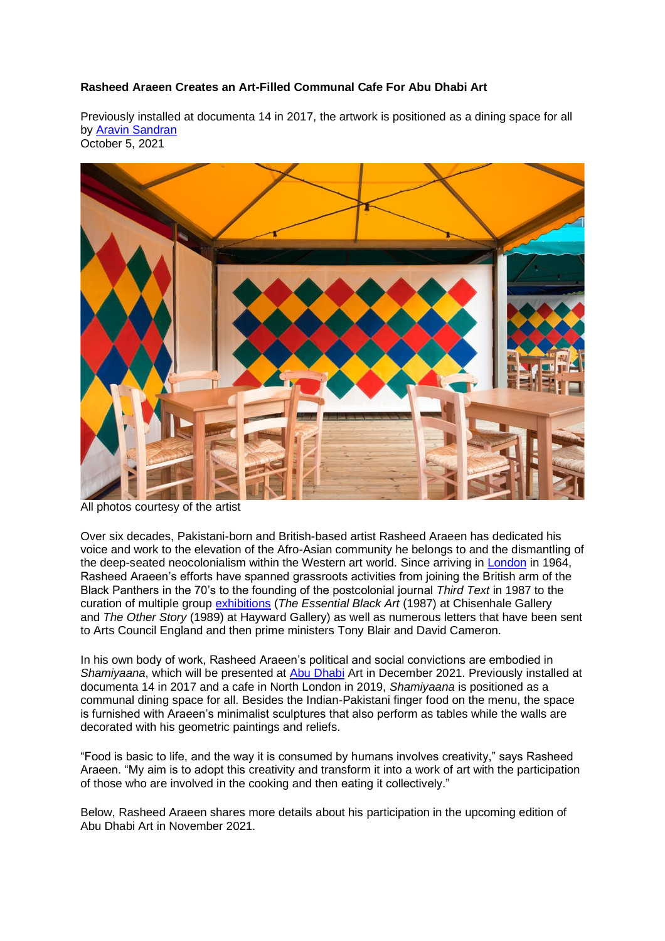# **Rasheed Araeen Creates an Art-Filled Communal Cafe For Abu Dhabi Art**

Previously installed at documenta 14 in 2017, the artwork is positioned as a dining space for all by Aravin Sandran October 5, 2021



All photos courtesy of the artist

Over six decades, Pakistani-born and British-based artist Rasheed Araeen has dedicated his voice and work to the elevation of the Afro-Asian community he belongs to and the dismantling of the deep-seated neocolonialism within the Western art world. Since arriving in [London](https://www.gqmiddleeast.com/style/jaden-smiths-first-london-shop-is-here-and-its-brilliant) in 1964, Rasheed Araeen's efforts have spanned grassroots activities from joining the British arm of the Black Panthers in the 70's to the founding of the postcolonial journal *Third Text* in 1987 to the curation of multiple group [exhibitions](https://www.gqmiddleeast.com/culture/best-of-jameel-arts-centre-dubai-exhibitions-and-films-in-2021) (*The Essential Black Art* (1987) at Chisenhale Gallery and *The Other Story* (1989) at Hayward Gallery) as well as numerous letters that have been sent to Arts Council England and then prime ministers Tony Blair and David Cameron.

In his own body of work, Rasheed Araeen's political and social convictions are embodied in *Shamiyaana*, which will be presented at [Abu Dhabi](https://www.gqmiddleeast.com/culture/mark-ronson-dj-set-semi-permanent-abu-dhabi) Art in December 2021. Previously installed at documenta 14 in 2017 and a cafe in North London in 2019, *Shamiyaana* is positioned as a communal dining space for all. Besides the Indian-Pakistani finger food on the menu, the space is furnished with Araeen's minimalist sculptures that also perform as tables while the walls are decorated with his geometric paintings and reliefs.

"Food is basic to life, and the way it is consumed by humans involves creativity," says Rasheed Araeen. "My aim is to adopt this creativity and transform it into a work of art with the participation of those who are involved in the cooking and then eating it collectively."

Below, Rasheed Araeen shares more details about his participation in the upcoming edition of Abu Dhabi Art in November 2021.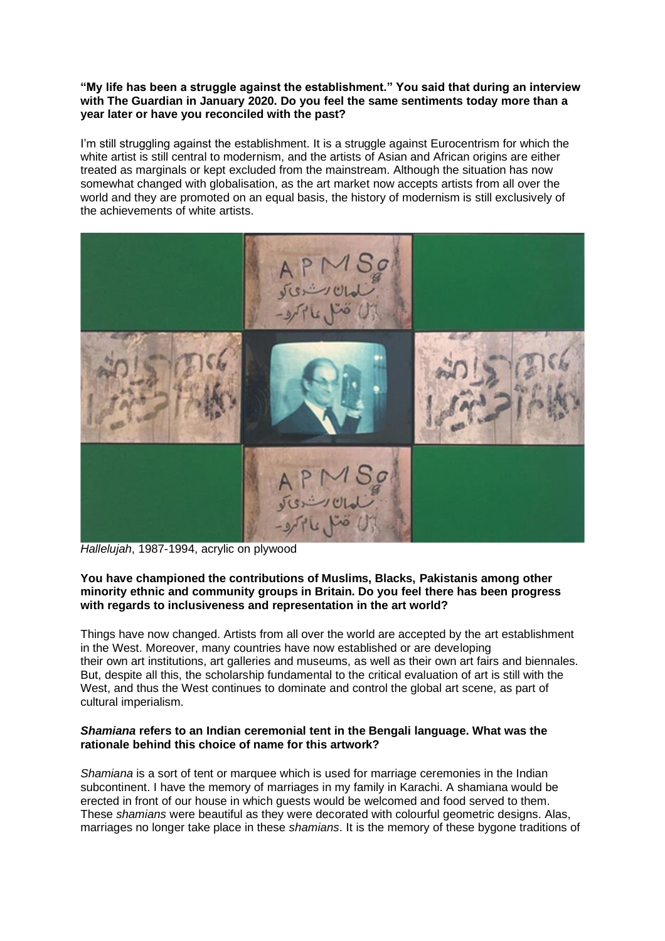### **"My life has been a struggle against the establishment." You said that during an interview with The Guardian in January 2020. Do you feel the same sentiments today more than a year later or have you reconciled with the past?**

I'm still struggling against the establishment. It is a struggle against Eurocentrism for which the white artist is still central to modernism, and the artists of Asian and African origins are either treated as marginals or kept excluded from the mainstream. Although the situation has now somewhat changed with globalisation, as the art market now accepts artists from all over the world and they are promoted on an equal basis, the history of modernism is still exclusively of the achievements of white artists.



*Hallelujah*, 1987-1994, acrylic on plywood

# **You have championed the contributions of Muslims, Blacks, Pakistanis among other minority ethnic and community groups in Britain. Do you feel there has been progress with regards to inclusiveness and representation in the art world?**

Things have now changed. Artists from all over the world are accepted by the art establishment in the West. Moreover, many countries have now established or are developing their own art institutions, art galleries and museums, as well as their own art fairs and biennales. But, despite all this, the scholarship fundamental to the critical evaluation of art is still with the West, and thus the West continues to dominate and control the global art scene, as part of cultural imperialism.

# *Shamiana* **refers to an Indian ceremonial tent in the Bengali language. What was the rationale behind this choice of name for this artwork?**

*Shamiana* is a sort of tent or marquee which is used for marriage ceremonies in the Indian subcontinent. I have the memory of marriages in my family in Karachi. A shamiana would be erected in front of our house in which guests would be welcomed and food served to them. These *shamians* were beautiful as they were decorated with colourful geometric designs. Alas, marriages no longer take place in these *shamians*. It is the memory of these bygone traditions of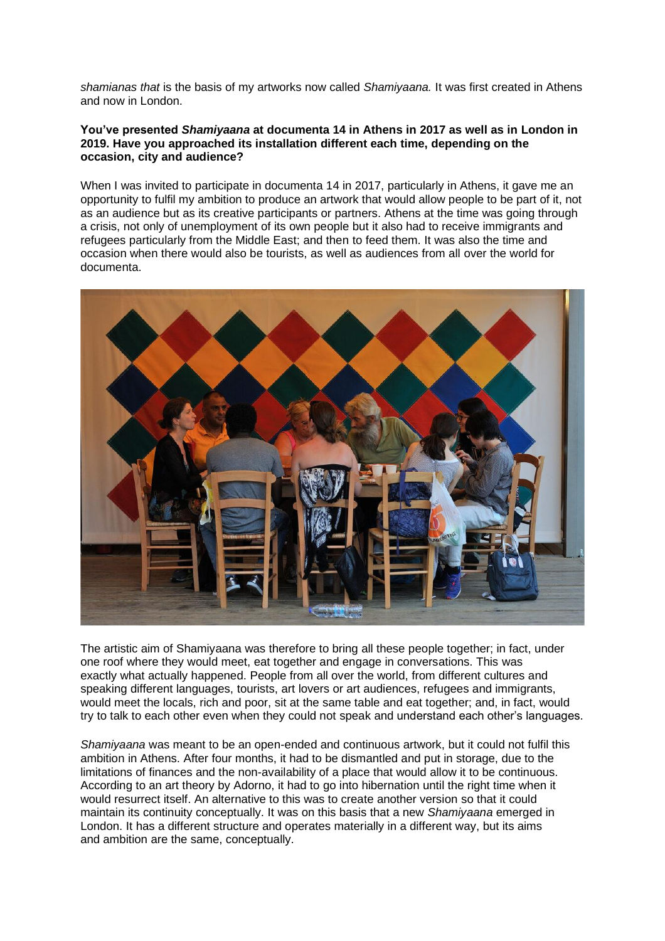*shamianas that* is the basis of my artworks now called *Shamiyaana.* It was first created in Athens and now in London.

### **You've presented** *Shamiyaana* **at documenta 14 in Athens in 2017 as well as in London in 2019. Have you approached its installation different each time, depending on the occasion, city and audience?**

When I was invited to participate in documenta 14 in 2017, particularly in Athens, it gave me an opportunity to fulfil my ambition to produce an artwork that would allow people to be part of it, not as an audience but as its creative participants or partners. Athens at the time was going through a crisis, not only of unemployment of its own people but it also had to receive immigrants and refugees particularly from the Middle East; and then to feed them. It was also the time and occasion when there would also be tourists, as well as audiences from all over the world for documenta.



The artistic aim of Shamiyaana was therefore to bring all these people together; in fact, under one roof where they would meet, eat together and engage in conversations. This was exactly what actually happened. People from all over the world, from different cultures and speaking different languages, tourists, art lovers or art audiences, refugees and immigrants, would meet the locals, rich and poor, sit at the same table and eat together; and, in fact, would try to talk to each other even when they could not speak and understand each other's languages.

*Shamiyaana* was meant to be an open-ended and continuous artwork, but it could not fulfil this ambition in Athens. After four months, it had to be dismantled and put in storage, due to the limitations of finances and the non-availability of a place that would allow it to be continuous. According to an art theory by Adorno, it had to go into hibernation until the right time when it would resurrect itself. An alternative to this was to create another version so that it could maintain its continuity conceptually. It was on this basis that a new *Shamiyaana* emerged in London. It has a different structure and operates materially in a different way, but its aims and ambition are the same, conceptually.